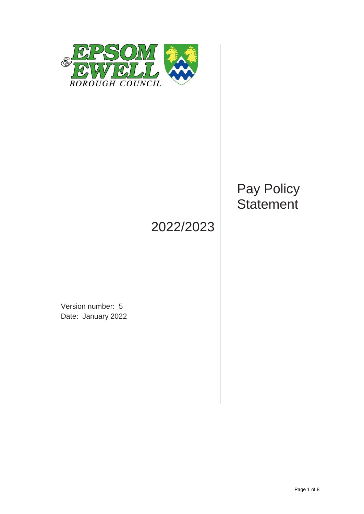

# Pay Policy **Statement**

# 2022/2023

Version number: 5 Date: January 2022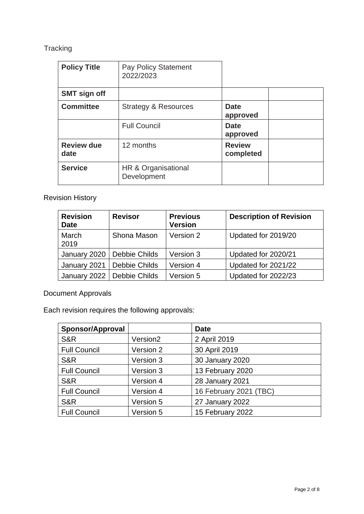# **Tracking**

| <b>Policy Title</b>       | Pay Policy Statement<br>2022/2023  |                            |
|---------------------------|------------------------------------|----------------------------|
| <b>SMT sign off</b>       |                                    |                            |
| <b>Committee</b>          | <b>Strategy &amp; Resources</b>    | <b>Date</b><br>approved    |
|                           | <b>Full Council</b>                | <b>Date</b><br>approved    |
| <b>Review due</b><br>date | 12 months                          | <b>Review</b><br>completed |
| <b>Service</b>            | HR & Organisational<br>Development |                            |

# Revision History

| <b>Revision</b><br><b>Date</b> | <b>Revisor</b>               | <b>Previous</b><br><b>Version</b> | <b>Description of Revision</b> |
|--------------------------------|------------------------------|-----------------------------------|--------------------------------|
| March<br>2019                  | Shona Mason                  | Version 2                         | Updated for 2019/20            |
| January 2020                   | Debbie Childs                | Version 3                         | Updated for 2020/21            |
| January 2021                   | Debbie Childs                | Version 4                         | Updated for 2021/22            |
|                                | January 2022   Debbie Childs | Version 5                         | Updated for 2022/23            |

Document Approvals

Each revision requires the following approvals:

| <b>Sponsor/Approval</b> |                      | <b>Date</b>            |  |
|-------------------------|----------------------|------------------------|--|
| <b>S&amp;R</b>          | Version <sub>2</sub> | 2 April 2019           |  |
| <b>Full Council</b>     | Version 2            | 30 April 2019          |  |
| <b>S&amp;R</b>          | Version 3            | 30 January 2020        |  |
| <b>Full Council</b>     | Version 3            | 13 February 2020       |  |
| <b>S&amp;R</b>          | Version 4            | 28 January 2021        |  |
| <b>Full Council</b>     | Version 4            | 16 February 2021 (TBC) |  |
| <b>S&amp;R</b>          | Version 5            | 27 January 2022        |  |
| <b>Full Council</b>     | Version 5            | 15 February 2022       |  |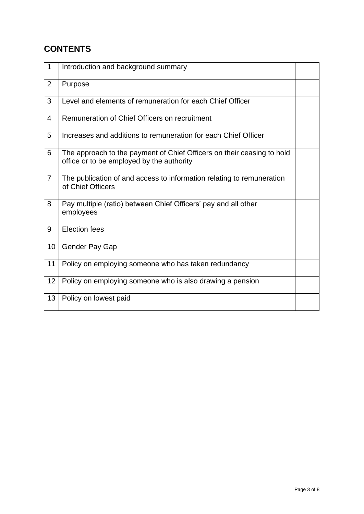# **CONTENTS**

| $\mathbf{1}$   | Introduction and background summary                                                                                 |  |
|----------------|---------------------------------------------------------------------------------------------------------------------|--|
| $\overline{2}$ | Purpose                                                                                                             |  |
| 3              | Level and elements of remuneration for each Chief Officer                                                           |  |
| 4              | Remuneration of Chief Officers on recruitment                                                                       |  |
| 5              | Increases and additions to remuneration for each Chief Officer                                                      |  |
| 6              | The approach to the payment of Chief Officers on their ceasing to hold<br>office or to be employed by the authority |  |
| $\overline{7}$ | The publication of and access to information relating to remuneration<br>of Chief Officers                          |  |
| 8              | Pay multiple (ratio) between Chief Officers' pay and all other<br>employees                                         |  |
| 9              | Election fees                                                                                                       |  |
| 10             | Gender Pay Gap                                                                                                      |  |
| 11             | Policy on employing someone who has taken redundancy                                                                |  |
| 12             | Policy on employing someone who is also drawing a pension                                                           |  |
| 13             | Policy on lowest paid                                                                                               |  |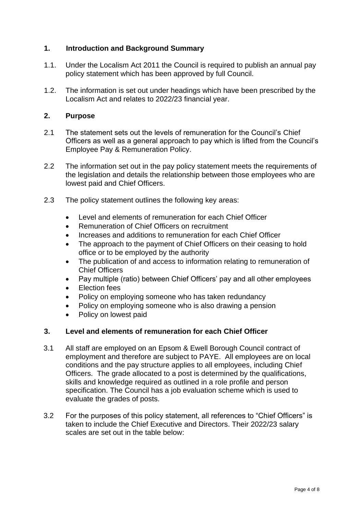## **1. Introduction and Background Summary**

- 1.1. Under the Localism Act 2011 the Council is required to publish an annual pay policy statement which has been approved by full Council.
- 1.2. The information is set out under headings which have been prescribed by the Localism Act and relates to 2022/23 financial year.

#### **2. Purpose**

- 2.1 The statement sets out the levels of remuneration for the Council's Chief Officers as well as a general approach to pay which is lifted from the Council's Employee Pay & Remuneration Policy.
- 2.2 The information set out in the pay policy statement meets the requirements of the legislation and details the relationship between those employees who are lowest paid and Chief Officers.
- 2.3 The policy statement outlines the following key areas:
	- Level and elements of remuneration for each Chief Officer
	- Remuneration of Chief Officers on recruitment
	- Increases and additions to remuneration for each Chief Officer
	- The approach to the payment of Chief Officers on their ceasing to hold office or to be employed by the authority
	- The publication of and access to information relating to remuneration of Chief Officers
	- Pay multiple (ratio) between Chief Officers' pay and all other employees
	- **Election fees**
	- Policy on employing someone who has taken redundancy
	- Policy on employing someone who is also drawing a pension
	- Policy on lowest paid

#### **3. Level and elements of remuneration for each Chief Officer**

- 3.1 All staff are employed on an Epsom & Ewell Borough Council contract of employment and therefore are subject to PAYE. All employees are on local conditions and the pay structure applies to all employees, including Chief Officers. The grade allocated to a post is determined by the qualifications, skills and knowledge required as outlined in a role profile and person specification. The Council has a job evaluation scheme which is used to evaluate the grades of posts.
- 3.2 For the purposes of this policy statement, all references to "Chief Officers" is taken to include the Chief Executive and Directors. Their 2022/23 salary scales are set out in the table below: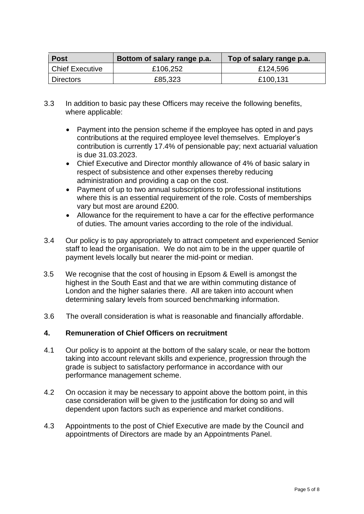| <b>Post</b>            | Bottom of salary range p.a. | Top of salary range p.a. |
|------------------------|-----------------------------|--------------------------|
| <b>Chief Executive</b> | £106,252                    | £124,596                 |
| <b>Directors</b>       | £85,323                     | £100,131                 |

- 3.3 In addition to basic pay these Officers may receive the following benefits, where applicable:
	- Payment into the pension scheme if the employee has opted in and pays contributions at the required employee level themselves. Employer's contribution is currently 17.4% of pensionable pay; next actuarial valuation is due 31.03.2023.
	- Chief Executive and Director monthly allowance of 4% of basic salary in respect of subsistence and other expenses thereby reducing administration and providing a cap on the cost.
	- Payment of up to two annual subscriptions to professional institutions where this is an essential requirement of the role. Costs of memberships vary but most are around £200.
	- Allowance for the requirement to have a car for the effective performance of duties. The amount varies according to the role of the individual.
- 3.4 Our policy is to pay appropriately to attract competent and experienced Senior staff to lead the organisation. We do not aim to be in the upper quartile of payment levels locally but nearer the mid-point or median.
- 3.5 We recognise that the cost of housing in Epsom & Ewell is amongst the highest in the South East and that we are within commuting distance of London and the higher salaries there. All are taken into account when determining salary levels from sourced benchmarking information.
- 3.6 The overall consideration is what is reasonable and financially affordable.

## **4. Remuneration of Chief Officers on recruitment**

- 4.1 Our policy is to appoint at the bottom of the salary scale, or near the bottom taking into account relevant skills and experience, progression through the grade is subject to satisfactory performance in accordance with our performance management scheme.
- 4.2 On occasion it may be necessary to appoint above the bottom point, in this case consideration will be given to the justification for doing so and will dependent upon factors such as experience and market conditions.
- 4.3 Appointments to the post of Chief Executive are made by the Council and appointments of Directors are made by an Appointments Panel.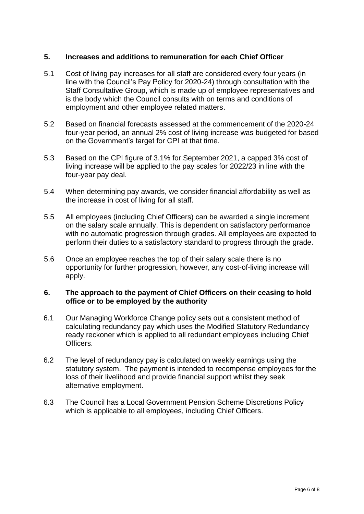## **5. Increases and additions to remuneration for each Chief Officer**

- 5.1 Cost of living pay increases for all staff are considered every four years (in line with the Council's Pay Policy for 2020-24) through consultation with the Staff Consultative Group, which is made up of employee representatives and is the body which the Council consults with on terms and conditions of employment and other employee related matters.
- 5.2 Based on financial forecasts assessed at the commencement of the 2020-24 four-year period, an annual 2% cost of living increase was budgeted for based on the Government's target for CPI at that time.
- 5.3 Based on the CPI figure of 3.1% for September 2021, a capped 3% cost of living increase will be applied to the pay scales for 2022/23 in line with the four-year pay deal.
- 5.4 When determining pay awards, we consider financial affordability as well as the increase in cost of living for all staff.
- 5.5 All employees (including Chief Officers) can be awarded a single increment on the salary scale annually. This is dependent on satisfactory performance with no automatic progression through grades. All employees are expected to perform their duties to a satisfactory standard to progress through the grade.
- 5.6 Once an employee reaches the top of their salary scale there is no opportunity for further progression, however, any cost-of-living increase will apply.

#### **6. The approach to the payment of Chief Officers on their ceasing to hold office or to be employed by the authority**

- 6.1 Our Managing Workforce Change policy sets out a consistent method of calculating redundancy pay which uses the Modified Statutory Redundancy ready reckoner which is applied to all redundant employees including Chief Officers.
- 6.2 The level of redundancy pay is calculated on weekly earnings using the statutory system. The payment is intended to recompense employees for the loss of their livelihood and provide financial support whilst they seek alternative employment.
- 6.3 The Council has a Local Government Pension Scheme Discretions Policy which is applicable to all employees, including Chief Officers.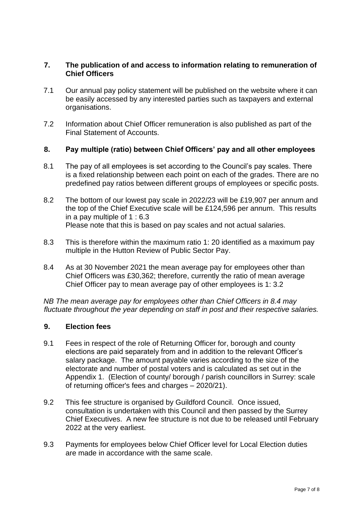#### **7. The publication of and access to information relating to remuneration of Chief Officers**

- 7.1 Our annual pay policy statement will be published on the website where it can be easily accessed by any interested parties such as taxpayers and external organisations.
- 7.2 Information about Chief Officer remuneration is also published as part of the Final Statement of Accounts.

#### **8. Pay multiple (ratio) between Chief Officers' pay and all other employees**

- 8.1 The pay of all employees is set according to the Council's pay scales. There is a fixed relationship between each point on each of the grades. There are no predefined pay ratios between different groups of employees or specific posts.
- 8.2 The bottom of our lowest pay scale in 2022/23 will be £19,907 per annum and the top of the Chief Executive scale will be £124,596 per annum. This results in a pay multiple of 1 : 6.3 Please note that this is based on pay scales and not actual salaries.
- 8.3 This is therefore within the maximum ratio 1: 20 identified as a maximum pay multiple in the Hutton Review of Public Sector Pay.
- 8.4 As at 30 November 2021 the mean average pay for employees other than Chief Officers was £30,362; therefore, currently the ratio of mean average Chief Officer pay to mean average pay of other employees is 1: 3.2

*NB The mean average pay for employees other than Chief Officers in 8.4 may fluctuate throughout the year depending on staff in post and their respective salaries.*

#### **9. Election fees**

- 9.1 Fees in respect of the role of Returning Officer for, borough and county elections are paid separately from and in addition to the relevant Officer's salary package. The amount payable varies according to the size of the electorate and number of postal voters and is calculated as set out in the Appendix 1. (Election of county/ borough / parish councillors in Surrey: scale of returning officer's fees and charges – 2020/21).
- 9.2 This fee structure is organised by Guildford Council. Once issued, consultation is undertaken with this Council and then passed by the Surrey Chief Executives. A new fee structure is not due to be released until February 2022 at the very earliest.
- 9.3 Payments for employees below Chief Officer level for Local Election duties are made in accordance with the same scale.